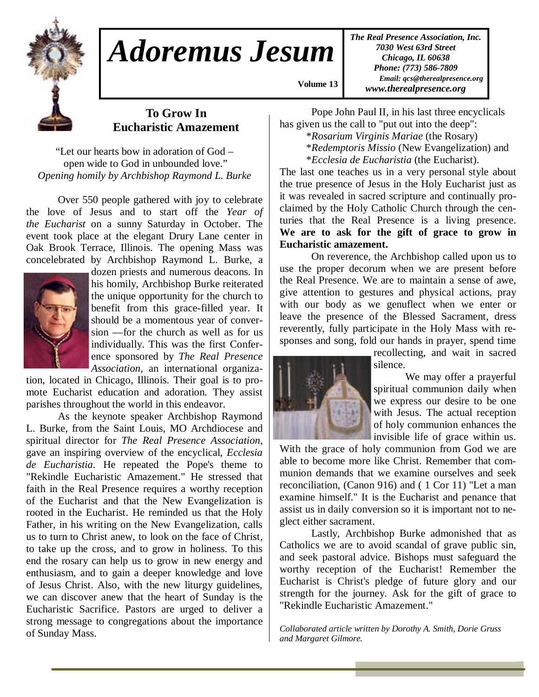

## *Adoremus Jesum*

*The Real Presence Association, Inc. 7030 West 63rd Street Chicago, IL 60638 Phone: (773) 586-7809 Email: qcs@therealpresence.org www.therealpresence.org* 

## **To Grow In Eucharistic Amazement**

"Let our hearts bow in adoration of God – open wide to God in unbounded love." *Opening homily by Archbishop Raymond L. Burke* 

 Over 550 people gathered with joy to celebrate the love of Jesus and to start off the *Year of the Eucharist* on a sunny Saturday in October. The event took place at the elegant Drury Lane center in Oak Brook Terrace, Illinois. The opening Mass was concelebrated by Archbishop Raymond L. Burke, a



dozen priests and numerous deacons. In his homily, Archbishop Burke reiterated the unique opportunity for the church to benefit from this grace-filled year. It should be a momentous year of conversion —for the church as well as for us individually. This was the first Conference sponsored by *The Real Presence Association*, an international organiza-

tion, located in Chicago, Illinois. Their goal is to promote Eucharist education and adoration. They assist parishes throughout the world in this endeavor.

 As the keynote speaker Archbishop Raymond L. Burke, from the Saint Louis, MO Archdiocese and spiritual director for *The Real Presence Association*, gave an inspiring overview of the encyclical, *Ecclesia de Eucharistia*. He repeated the Pope's theme to "Rekindle Eucharistic Amazement." He stressed that faith in the Real Presence requires a worthy reception of the Eucharist and that the New Evangelization is rooted in the Eucharist. He reminded us that the Holy Father, in his writing on the New Evangelization, calls us to turn to Christ anew, to look on the face of Christ, to take up the cross, and to grow in holiness. To this end the rosary can help us to grow in new energy and enthusiasm, and to gain a deeper knowledge and love of Jesus Christ. Also, with the new liturgy guidelines, we can discover anew that the heart of Sunday is the Eucharistic Sacrifice. Pastors are urged to deliver a strong message to congregations about the importance of Sunday Mass.

 Pope John Paul II, in his last three encyclicals has given us the call to "put out into the deep":

\**Rosarium Virginis Mariae* (the Rosary)

 \**Redemptoris Missio* (New Evangelization) and \**Ecclesia de Eucharistia* (the Eucharist).

The last one teaches us in a very personal style about the true presence of Jesus in the Holy Eucharist just as it was revealed in sacred scripture and continually proclaimed by the Holy Catholic Church through the centuries that the Real Presence is a living presence. **We are to ask for the gift of grace to grow in Eucharistic amazement.** 

 On reverence, the Archbishop called upon us to use the proper decorum when we are present before the Real Presence. We are to maintain a sense of awe, give attention to gestures and physical actions, pray with our body as we genuflect when we enter or leave the presence of the Blessed Sacrament, dress reverently, fully participate in the Holy Mass with responses and song, fold our hands in prayer, spend time



 **Volume 13,**

recollecting, and wait in sacred silence.

 We may offer a prayerful spiritual communion daily when we express our desire to be one with Jesus. The actual reception of holy communion enhances the invisible life of grace within us.

With the grace of holy communion from God we are able to become more like Christ. Remember that communion demands that we examine ourselves and seek reconciliation, (Canon 916) and ( 1 Cor 11) "Let a man examine himself." It is the Eucharist and penance that assist us in daily conversion so it is important not to neglect either sacrament.

 Lastly, Archbishop Burke admonished that as Catholics we are to avoid scandal of grave public sin, and seek pastoral advice. Bishops must safeguard the worthy reception of the Eucharist! Remember the Eucharist is Christ's pledge of future glory and our strength for the journey. Ask for the gift of grace to "Rekindle Eucharistic Amazement."

*Collaborated article written by Dorothy A. Smith, Dorie Gruss and Margaret Gilmore.*